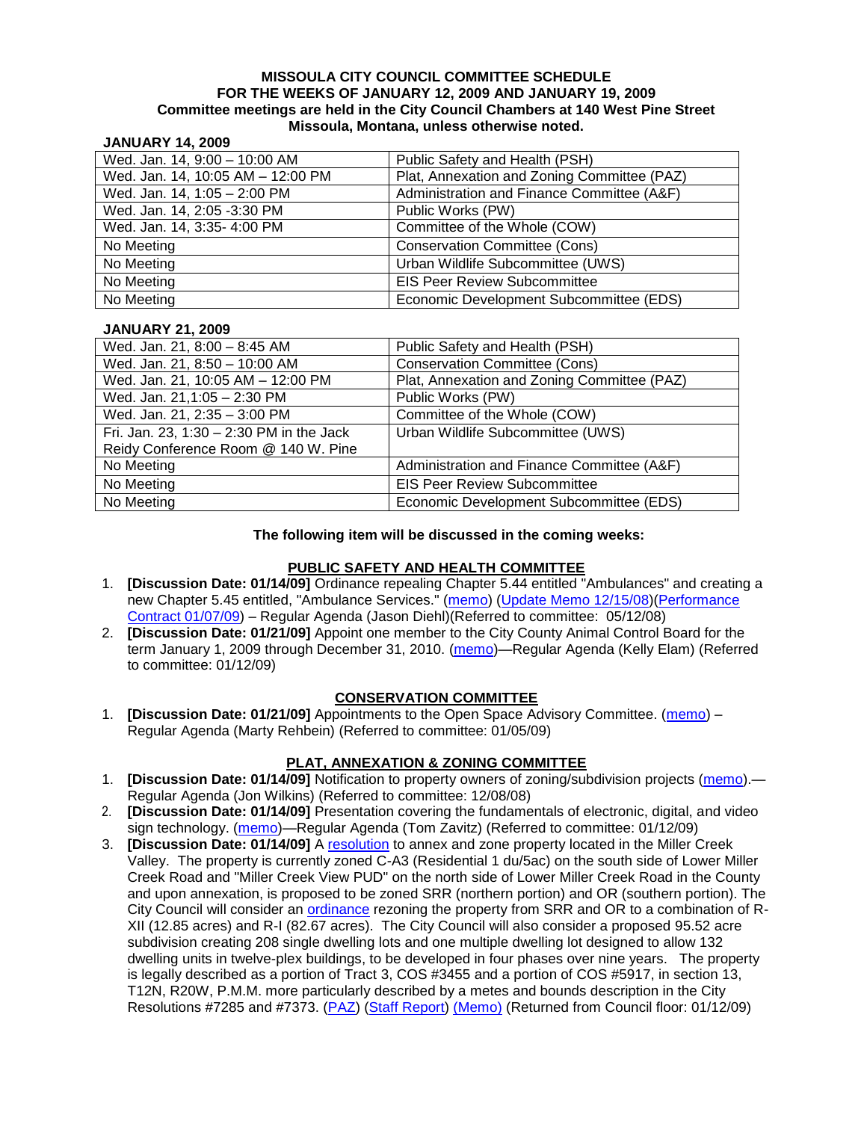#### **MISSOULA CITY COUNCIL COMMITTEE SCHEDULE FOR THE WEEKS OF JANUARY 12, 2009 AND JANUARY 19, 2009 Committee meetings are held in the City Council Chambers at 140 West Pine Street Missoula, Montana, unless otherwise noted.**

### **JANUARY 14, 2009**

| Wed. Jan. 14, 9:00 - 10:00 AM     | Public Safety and Health (PSH)              |
|-----------------------------------|---------------------------------------------|
| Wed. Jan. 14, 10:05 AM - 12:00 PM | Plat, Annexation and Zoning Committee (PAZ) |
| Wed. Jan. 14, 1:05 - 2:00 PM      | Administration and Finance Committee (A&F)  |
| Wed. Jan. 14, 2:05 -3:30 PM       | Public Works (PW)                           |
| Wed. Jan. 14, 3:35- 4:00 PM       | Committee of the Whole (COW)                |
| No Meeting                        | <b>Conservation Committee (Cons)</b>        |
| No Meeting                        | Urban Wildlife Subcommittee (UWS)           |
| No Meeting                        | <b>EIS Peer Review Subcommittee</b>         |
| No Meeting                        | Economic Development Subcommittee (EDS)     |

#### **JANUARY 21, 2009**

| Wed. Jan. 21, 8:00 - 8:45 AM             | Public Safety and Health (PSH)              |
|------------------------------------------|---------------------------------------------|
| Wed. Jan. 21, 8:50 - 10:00 AM            | <b>Conservation Committee (Cons)</b>        |
| Wed. Jan. 21, 10:05 AM - 12:00 PM        | Plat, Annexation and Zoning Committee (PAZ) |
| Wed. Jan. 21,1:05 - 2:30 PM              | Public Works (PW)                           |
| Wed. Jan. 21, 2:35 - 3:00 PM             | Committee of the Whole (COW)                |
| Fri. Jan. 23, 1:30 - 2:30 PM in the Jack | Urban Wildlife Subcommittee (UWS)           |
| Reidy Conference Room @ 140 W. Pine      |                                             |
| No Meeting                               | Administration and Finance Committee (A&F)  |
| No Meeting                               | <b>EIS Peer Review Subcommittee</b>         |
| No Meeting                               | Economic Development Subcommittee (EDS)     |

#### **The following item will be discussed in the coming weeks:**

### **PUBLIC SAFETY AND HEALTH COMMITTEE**

- 1. **[Discussion Date: 01/14/09]** Ordinance repealing Chapter 5.44 entitled "Ambulances" and creating a new Chapter 5.45 entitled, "Ambulance Services." [\(memo\)](ftp://ftp.ci.missoula.mt.us/Packets/Council/2008/2008-05-12/Referrals/080508AmbulanceOrdinanceReferral.htm) [\(Update Memo 12/15/08\)](ftp://ftp.ci.missoula.mt.us/Packets/Council/2008/2008-12-15/081212AmbulanceOrdinanceReferralUpdated.pdf) (Performance [Contract 01/07/09\)](ftp://ftp.ci.missoula.mt.us/Packets/Council/2009/2009-01-12/MESIPerformanceContract090107.pdf) – Regular Agenda (Jason Diehl)(Referred to committee: 05/12/08)
- 2. **[Discussion Date: 01/21/09]** Appoint one member to the City County Animal Control Board for the term January 1, 2009 through December 31, 2010. [\(memo\)](ftp://ftp.ci.missoula.mt.us/Packets/Council/2009/2009-01-12/Referrals/090121animalcontrolReferral.pdf)—Regular Agenda (Kelly Elam) (Referred to committee: 01/12/09)

#### **CONSERVATION COMMITTEE**

1. **[Discussion Date: 01/21/09]** Appointments to the Open Space Advisory Committee. [\(memo\)](ftp://ftp.ci.missoula.mt.us/Packets/Council/2009/2009-01-05/Referrals/090105OSACReferral.pdf) – Regular Agenda (Marty Rehbein) (Referred to committee: 01/05/09)

#### **PLAT, ANNEXATION & ZONING COMMITTEE**

- 1. **[Discussion Date: 01/14/09]** Notification to property owners of zoning/subdivision projects [\(memo\)](ftp://ftp.ci.missoula.mt.us/Packets/Council/2008/2008-12-08/Referrals/PropertyOwnersNotifications.pdf).— Regular Agenda (Jon Wilkins) (Referred to committee: 12/08/08)
- 2. **[Discussion Date: 01/14/09]** Presentation covering the fundamentals of electronic, digital, and video sign technology. [\(memo\)](ftp://ftp.ci.missoula.mt.us/Packets/Council/2009/2009-01-12/Referrals/SignPresentationMemo.pdf)—Regular Agenda (Tom Zavitz) (Referred to committee: 01/12/09)
- 3. **[Discussion Date: 01/14/09]** A [resolution](ftp://ftp.ci.missoula.mt.us/Packets/Council/2009/2009-01-12/Public Hearings/RESOLUTIONLindaVistaEstates.pdf) to annex and zone property located in the Miller Creek Valley. The property is currently zoned C-A3 (Residential 1 du/5ac) on the south side of Lower Miller Creek Road and "Miller Creek View PUD" on the north side of Lower Miller Creek Road in the County and upon annexation, is proposed to be zoned SRR (northern portion) and OR (southern portion). The City Council will consider an [ordinance](ftp://ftp.ci.missoula.mt.us/Packets/Council/2009/2009-01-12/Public Hearings/LVEOrd.pdf) rezoning the property from SRR and OR to a combination of R-XII (12.85 acres) and R-I (82.67 acres). The City Council will also consider a proposed 95.52 acre subdivision creating 208 single dwelling lots and one multiple dwelling lot designed to allow 132 dwelling units in twelve-plex buildings, to be developed in four phases over nine years. The property is legally described as a portion of Tract 3, COS #3455 and a portion of COS #5917, in section 13, T12N, R20W, P.M.M. more particularly described by a metes and bounds description in the City Resolutions #7285 and #7373. [\(PAZ\)](ftp://ftp.ci.missoula.mt.us/Packets/Council/2009/2009-01-12/090107paz.pdf) [\(Staff Report\)](ftp://ftp.ci.missoula.mt.us/Packets/Council/2009/2009-01-12/Public Hearings/REPORTAmendedLindaVistaEstates.pdf) [\(Memo\)](ftp://ftp.ci.missoula.mt.us/Packets/Council/2008/2008-12-22/Referrals/LVEMemo.pdf) (Returned from Council floor: 01/12/09)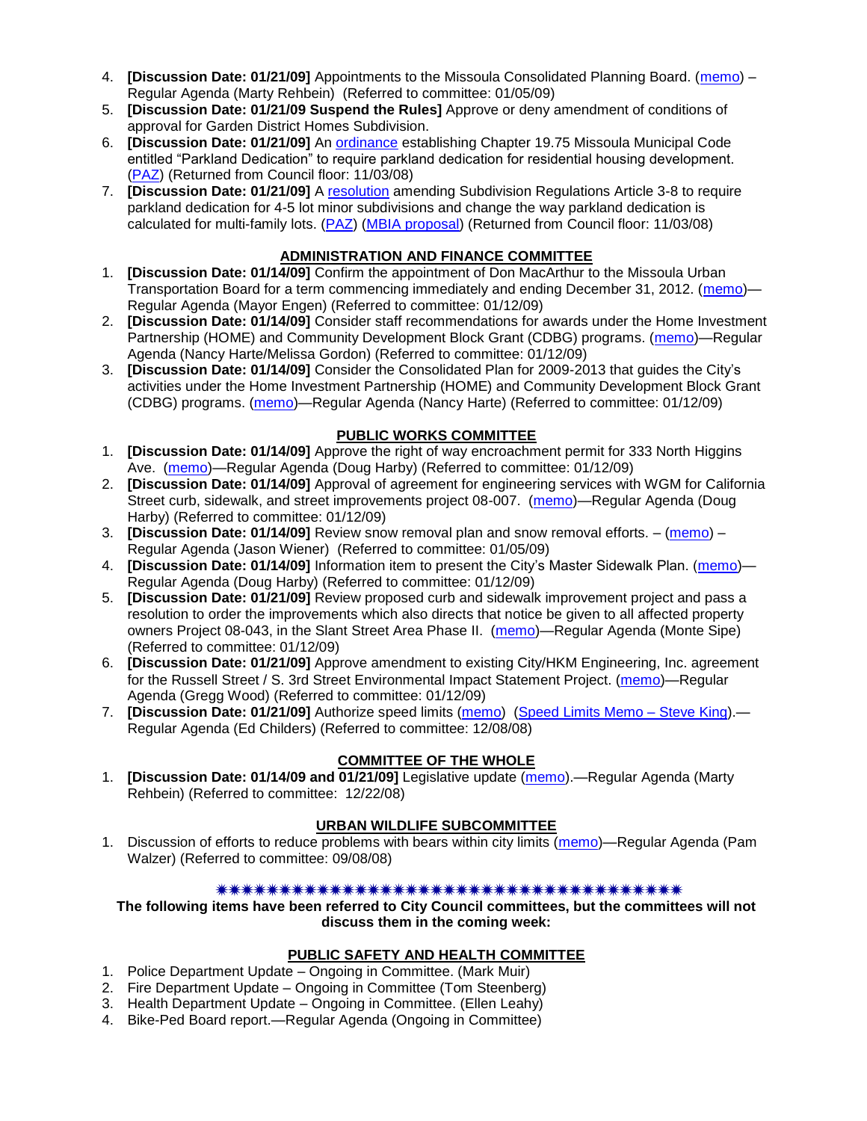- 4. **[Discussion Date: 01/21/09]** Appointments to the Missoula Consolidated Planning Board. [\(memo\)](ftp://ftp.ci.missoula.mt.us/Packets/Council/2009/2009-01-05/Referrals/090107PlanBoardReferral.pdf) Regular Agenda (Marty Rehbein) (Referred to committee: 01/05/09)
- 5. **[Discussion Date: 01/21/09 Suspend the Rules]** Approve or deny amendment of conditions of approval for Garden District Homes Subdivision.
- 6. **[Discussion Date: 01/21/09]** An [ordinance](ftp://ftp.ci.missoula.mt.us/Packets/Council/2008/2008-09-22/Referrals/OrdinanceChap19-75.pdf) establishing Chapter 19.75 Missoula Municipal Code entitled "Parkland Dedication" to require parkland dedication for residential housing development. [\(PAZ\)](ftp://ftp.ci.missoula.mt.us/Packets/Council/2008/2008-10-06/080924paz.pdf) (Returned from Council floor: 11/03/08)
- 7. **[Discussion Date: 01/21/09]** A [resolution](ftp://ftp.ci.missoula.mt.us/Packets/Council/2008/2008-10-06/parkres.pdf) amending Subdivision Regulations Article 3-8 to require parkland dedication for 4-5 lot minor subdivisions and change the way parkland dedication is calculated for multi-family lots. [\(PAZ\)](ftp://ftp.ci.missoula.mt.us/Packets/Council/2008/2008-10-06/080924paz.pdf) [\(MBIA proposal\)](ftp://ftp.ci.missoula.mt.us/Packets/Council/2009/2009-01-12/Referrals/MBIA_Parkland_Proposal.pdf) (Returned from Council floor: 11/03/08)

## **ADMINISTRATION AND FINANCE COMMITTEE**

- 1. **[Discussion Date: 01/14/09]** Confirm the appointment of Don MacArthur to the Missoula Urban Transportation Board for a term commencing immediately and ending December 31, 2012. [\(memo\)](ftp://ftp.ci.missoula.mt.us/Packets/Council/2009/2009-01-12/Referrals/MUTDReferral.pdf)— Regular Agenda (Mayor Engen) (Referred to committee: 01/12/09)
- 2. **[Discussion Date: 01/14/09]** Consider staff recommendations for awards under the Home Investment Partnership (HOME) and Community Development Block Grant (CDBG) programs. [\(memo\)](ftp://ftp.ci.missoula.mt.us/Packets/Council/2009/2009-01-12/Referrals/CDBG_HOMEMemo.pdf)—Regular Agenda (Nancy Harte/Melissa Gordon) (Referred to committee: 01/12/09)
- 3. **[Discussion Date: 01/14/09]** Consider the Consolidated Plan for 2009-2013 that guides the City's activities under the Home Investment Partnership (HOME) and Community Development Block Grant (CDBG) programs. [\(memo\)](ftp://ftp.ci.missoula.mt.us/Packets/Council/2009/2009-01-12/Referrals/ConsolidatedPlan09.pdf)—Regular Agenda (Nancy Harte) (Referred to committee: 01/12/09)

## **PUBLIC WORKS COMMITTEE**

- 1. **[Discussion Date: 01/14/09]** Approve the right of way encroachment permit for 333 North Higgins Ave. [\(memo\)](ftp://ftp.ci.missoula.mt.us/packets/council/2009/2009-01-12/Referrals/RedRoosterEncroachREF.pdf)—Regular Agenda (Doug Harby) (Referred to committee: 01/12/09)
- 2. **[Discussion Date: 01/14/09]** Approval of agreement for engineering services with WGM for California Street curb, sidewalk, and street improvements project 08-007. [\(memo\)](ftp://ftp.ci.missoula.mt.us/packets/council/2009/2009-01-12/Referrals/CrbSdwlkWGM08007REF.pdf)—Regular Agenda (Doug Harby) (Referred to committee: 01/12/09)
- 3. **[Discussion Date: 01/14/09]** Review snow removal plan and snow removal efforts. [\(memo\)](ftp://ftp.ci.missoula.mt.us/Packets/Council/2009/2009-01-05/Referrals/Winter_Street_Maintenance.pdf) Regular Agenda (Jason Wiener) (Referred to committee: 01/05/09)
- 4. **[Discussion Date: 01/14/09]** Information item to present the City's Master Sidewalk Plan. [\(memo\)](ftp://ftp.ci.missoula.mt.us/packets/council/2009/2009-01-12/Referrals/MstrSdwlkPlnREF.pdf) Regular Agenda (Doug Harby) (Referred to committee: 01/12/09)
- 5. **[Discussion Date: 01/21/09]** Review proposed curb and sidewalk improvement project and pass a resolution to order the improvements which also directs that notice be given to all affected property owners Project 08-043, in the Slant Street Area Phase II. [\(memo\)](ftp://ftp.ci.missoula.mt.us/packets/council/2009/2009-01-12/Referrals/SdwlkRes08043REF.pdf)—Regular Agenda (Monte Sipe) (Referred to committee: 01/12/09)
- 6. **[Discussion Date: 01/21/09]** Approve amendment to existing City/HKM Engineering, Inc. agreement for the Russell Street / S. 3rd Street Environmental Impact Statement Project. [\(memo\)](ftp://ftp.ci.missoula.mt.us/packets/council/2009/2009-01-12/Referrals/HKMPeerReviewAmendREF.pdf)—Regular Agenda (Gregg Wood) (Referred to committee: 01/12/09)
- 7. **[Discussion Date: 01/21/09]** Authorize speed limits [\(memo\)](ftp://ftp.ci.missoula.mt.us/Packets/Council/2008/2008-12-08/Referrals/ReferralAuthorizeSpeedLimits.pdf) [\(Speed Limits](ftp://ftp.ci.missoula.mt.us/packets/council/2008/2008-12-15/Referrals/SpeedLimitMemo.pdf) Memo Steve King).— Regular Agenda (Ed Childers) (Referred to committee: 12/08/08)

# **COMMITTEE OF THE WHOLE**

1. **[Discussion Date: 01/14/09 and 01/21/09]** Legislative update [\(memo\)](ftp://ftp.ci.missoula.mt.us/Packets/Council/2008/2008-12-22/Referrals/LegislativeUpdate.pdf).—Regular Agenda (Marty Rehbein) (Referred to committee: 12/22/08)

## **URBAN WILDLIFE SUBCOMMITTEE**

1. Discussion of efforts to reduce problems with bears within city limits [\(memo\)](ftp://ftp.ci.missoula.mt.us/Packets/Council/2008/2008-09-08/Referrals/UWSBearReferral.pdf)—Regular Agenda (Pam Walzer) (Referred to committee: 09/08/08)

### \*\*\*\*\*\*\*\*\*\*\*\*\*\*\*\*\*\*\*\*\*\*\*\*\*\*\*\*\*\*\*\*\*\*\*\*\*\*

**The following items have been referred to City Council committees, but the committees will not discuss them in the coming week:**

### **PUBLIC SAFETY AND HEALTH COMMITTEE**

- 1. Police Department Update Ongoing in Committee. (Mark Muir)
- 2. Fire Department Update Ongoing in Committee (Tom Steenberg)
- 3. Health Department Update Ongoing in Committee. (Ellen Leahy)
- 4. Bike-Ped Board report.—Regular Agenda (Ongoing in Committee)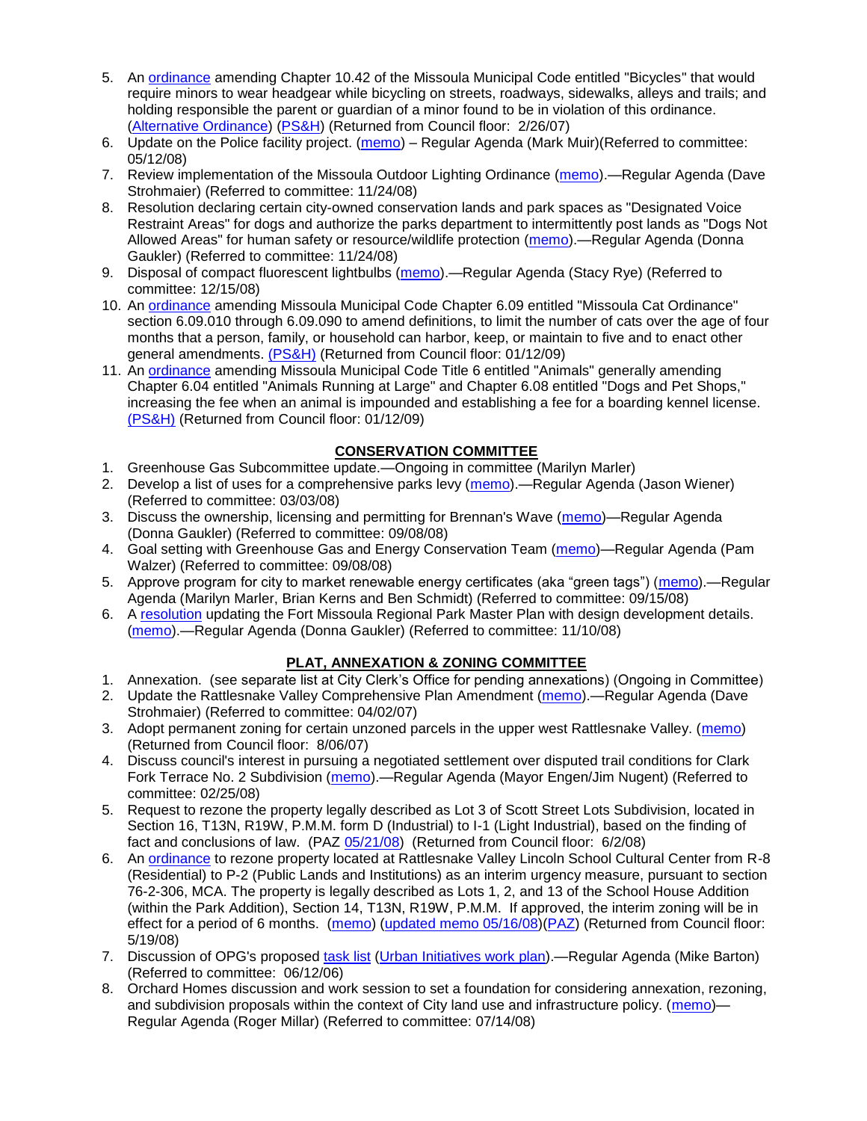- 5. An [ordinance](ftp://ftp.ci.missoula.mt.us/Packets/Council/2007/2007-02-05/07-01-31 Helmet and bikes psh.htm) amending Chapter 10.42 of the Missoula Municipal Code entitled "Bicycles" that would require minors to wear headgear while bicycling on streets, roadways, sidewalks, alleys and trails; and holding responsible the parent or guardian of a minor found to be in violation of this ordinance. [\(Alternative Ordinance\)](ftp://ftp.ci.missoula.mt.us/Packets/Council/2007/2007-02-26/07-02-19_Alternative_Helmet_and_bikes.htm) [\(PS&H\)](ftp://ftp.ci.missoula.mt.us/Packets/Council/2007/2007-02-05/070131psh.pdf) (Returned from Council floor: 2/26/07)
- 6. Update on the Police facility project. [\(memo\)](ftp://ftp.ci.missoula.mt.us/Packets/Council/2008/2008-05-12/Referrals/Buildingpresentationreferral.htm) Regular Agenda (Mark Muir) (Referred to committee: 05/12/08)
- 7. Review implementation of the Missoula Outdoor Lighting Ordinance [\(memo\)](ftp://ftp.ci.missoula.mt.us/Packets/Council/2008/2008-11-24/Referrals/Outdoor_Lighting_Ordinance_Review.pdf).—Regular Agenda (Dave Strohmaier) (Referred to committee: 11/24/08)
- 8. Resolution declaring certain city-owned conservation lands and park spaces as "Designated Voice Restraint Areas" for dogs and authorize the parks department to intermittently post lands as "Dogs Not Allowed Areas" for human safety or resource/wildlife protection [\(memo\)](ftp://ftp.ci.missoula.mt.us/Packets/Council/2008/2008-11-24/Referrals/VoiceRestraintReferral.pdf).—Regular Agenda (Donna Gaukler) (Referred to committee: 11/24/08)
- 9. Disposal of compact fluorescent lightbulbs [\(memo\)](ftp://ftp.ci.missoula.mt.us/Packets/Council/2008/2008-12-15/Referrals/CFLreferral.pdf).—Regular Agenda (Stacy Rye) (Referred to committee: 12/15/08)
- 10. An [ordinance](ftp://ftp.ci.missoula.mt.us/Packets/Council/2008/2008-12-15/2008CatOrdinanceAmendment%5B1%5D.pdf) amending Missoula Municipal Code Chapter 6.09 entitled "Missoula Cat Ordinance" section 6.09.010 through 6.09.090 to amend definitions, to limit the number of cats over the age of four months that a person, family, or household can harbor, keep, or maintain to five and to enact other general amendments. [\(PS&H\)](ftp://ftp.ci.missoula.mt.us/Packets/Council/2008/2008-12-15/081210psh.pdf) (Returned from Council floor: 01/12/09)
- 11. An [ordinance](ftp://ftp.ci.missoula.mt.us/Packets/Council/2008/2008-12-15/DogOrdinance--PSHrevisions.pdf) amending Missoula Municipal Code Title 6 entitled "Animals" generally amending Chapter 6.04 entitled "Animals Running at Large" and Chapter 6.08 entitled "Dogs and Pet Shops," increasing the fee when an animal is impounded and establishing a fee for a boarding kennel license. [\(PS&H\)](ftp://ftp.ci.missoula.mt.us/Packets/Council/2008/2008-12-15/081210psh.pdf) (Returned from Council floor: 01/12/09)

## **CONSERVATION COMMITTEE**

- 1. Greenhouse Gas Subcommittee update.—Ongoing in committee (Marilyn Marler)
- 2. Develop a list of uses for a comprehensive parks levy [\(memo\)](ftp://ftp.ci.missoula.mt.us/Packets/Council/2008/2008-03-03/Referrals/parkslevyreferral.pdf).—Regular Agenda (Jason Wiener) (Referred to committee: 03/03/08)
- 3. Discuss the ownership, licensing and permitting for Brennan's Wave [\(memo\)](ftp://ftp.ci.missoula.mt.us/Packets/Council/2008/2008-09-08/Referrals/ReferralBrennansWaveLicensing.pdf)—Regular Agenda (Donna Gaukler) (Referred to committee: 09/08/08)
- 4. Goal setting with Greenhouse Gas and Energy Conservation Team [\(memo\)](ftp://ftp.ci.missoula.mt.us/Packets/Council/2008/2008-09-08/Referrals/GGECTdialog.pdf)—Regular Agenda (Pam Walzer) (Referred to committee: 09/08/08)
- 5. Approve program for city to market renewable energy certificates (aka "green tags") [\(memo\)](ftp://ftp.ci.missoula.mt.us/Packets/Council/2008/2008-09-15/Referrals/green_tags_referral.pdf).—Regular Agenda (Marilyn Marler, Brian Kerns and Ben Schmidt) (Referred to committee: 09/15/08)
- 6. A [resolution](ftp://ftp.ci.missoula.mt.us/Packets/Council/2008/2008-12-01/Referrals/FMRPRESOLUT08RevisePlanDDDRAFT.pdf) updating the Fort Missoula Regional Park Master Plan with design development details. [\(memo\)](ftp://ftp.ci.missoula.mt.us/Packets/Council/2008/2008-11-10/Referrals/ReferralPublicHearingFMRPNov12dg.pdf).—Regular Agenda (Donna Gaukler) (Referred to committee: 11/10/08)

## **PLAT, ANNEXATION & ZONING COMMITTEE**

- 1. Annexation. (see separate list at City Clerk's Office for pending annexations) (Ongoing in Committee)
- 2. Update the Rattlesnake Valley Comprehensive Plan Amendment [\(memo\)](ftp://ftp.ci.missoula.mt.us/Packets/Council/2007/2007-04-02/Referrals/Rattlesnake_Plan_Update_referral.pdf).—Regular Agenda (Dave Strohmaier) (Referred to committee: 04/02/07)
- 3. Adopt permanent zoning for certain unzoned parcels in the upper west Rattlesnake Valley. [\(memo\)](ftp://ftp.ci.missoula.mt.us/Packets/Council/2007/2007-03-26/Referrals/P-1_zoning_ref.htm) (Returned from Council floor: 8/06/07)
- 4. Discuss council's interest in pursuing a negotiated settlement over disputed trail conditions for Clark Fork Terrace No. 2 Subdivision [\(memo\)](ftp://ftp.ci.missoula.mt.us/Packets/Council/2008/2008-02-25/Referrals/Clark_Fork_Terrace_2.pdf).—Regular Agenda (Mayor Engen/Jim Nugent) (Referred to committee: 02/25/08)
- 5. Request to rezone the property legally described as Lot 3 of Scott Street Lots Subdivision, located in Section 16, T13N, R19W, P.M.M. form D (Industrial) to I-1 (Light Industrial), based on the finding of fact and conclusions of law. (PAZ [05/21/08\)](ftp://ftp.ci.missoula.mt.us/Packets/Council/2008/2008-06-02/080521paz.pdf) (Returned from Council floor: 6/2/08)
- 6. An [ordinance](ftp://ftp.ci.missoula.mt.us/Packets/Council/2008/2008-05-19/Public_Hearings/LincolnSchoolInterimP-2ord.pdf) to rezone property located at Rattlesnake Valley Lincoln School Cultural Center from R-8 (Residential) to P-2 (Public Lands and Institutions) as an interim urgency measure, pursuant to section 76-2-306, MCA. The property is legally described as Lots 1, 2, and 13 of the School House Addition (within the Park Addition), Section 14, T13N, R19W, P.M.M. If approved, the interim zoning will be in effect for a period of 6 months. [\(memo\)](ftp://ftp.ci.missoula.mt.us/Packets/Council/2008/2008-05-19/Public_Hearings/LincolnSchoolInterimPermZonMemo.pdf) [\(updated memo 05/16/08\)](ftp://ftp.ci.missoula.mt.us/Packets/Council/2008/2008-05-19/Public_Hearings/LincolnSchoolInterimPermZonMemo.pdf)[\(PAZ\)](ftp://ftp.ci.missoula.mt.us/Packets/Council/2008/2008-05-12/080507paz.htm) (Returned from Council floor: 5/19/08)
- 7. Discussion of OPG's proposed [task list](ftp://ftp.ci.missoula.mt.us/Packets/Council/2008/2008-07-07/UITaskList.pdf) [\(Urban Initiatives work plan\)](ftp://ftp.ci.missoula.mt.us/Packets/Council/2006/2006-06-12/Referrals/Urban_Init.htm).—Regular Agenda (Mike Barton) (Referred to committee: 06/12/06)
- 8. Orchard Homes discussion and work session to set a foundation for considering annexation, rezoning, and subdivision proposals within the context of City land use and infrastructure policy. [\(memo\)](ftp://ftp.ci.missoula.mt.us/Packets/Council/2008/2008-07-14/Referrals/OrchardHomesDiscMemo.pdf)— Regular Agenda (Roger Millar) (Referred to committee: 07/14/08)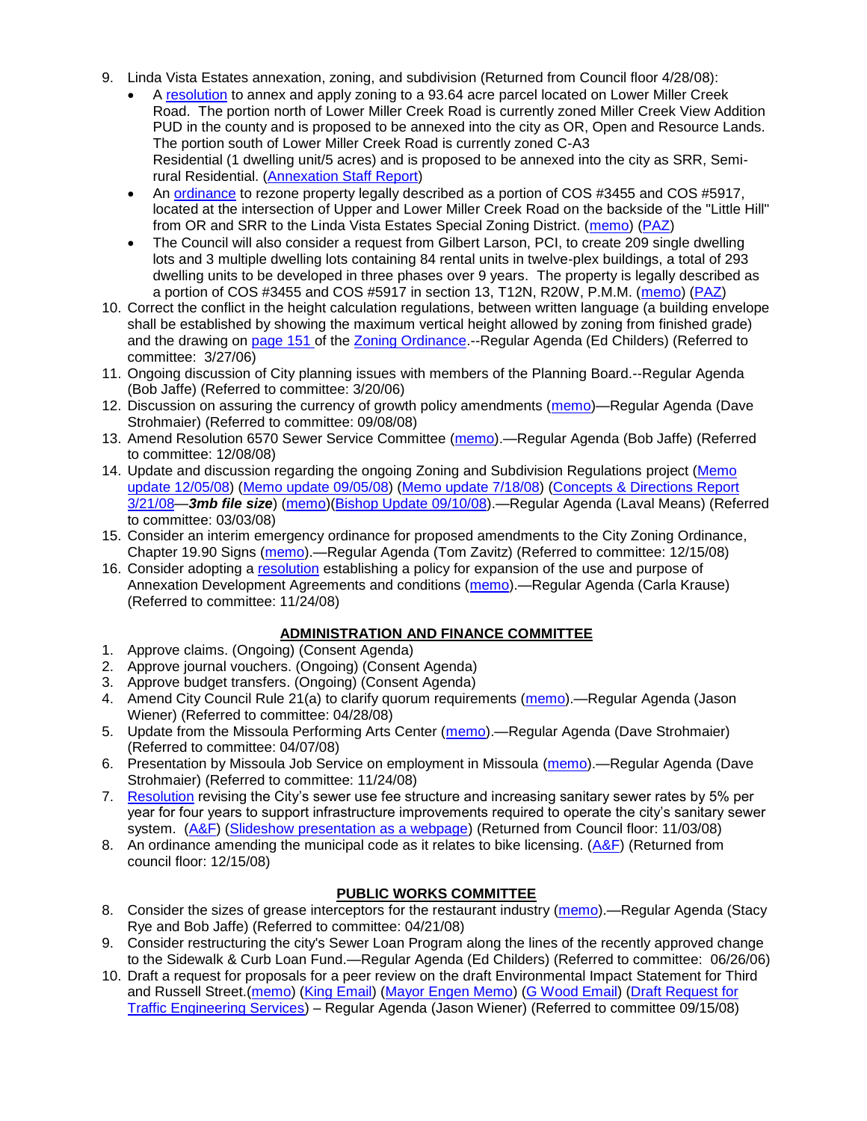- 9. Linda Vista Estates annexation, zoning, and subdivision (Returned from Council floor 4/28/08):
	- A [resolution](ftp://ftp.ci.missoula.mt.us/Packets/Council/2008/2008-04-28/Public_Hearings/RESOLUTION-LindaVistaEstates.pdf) to annex and apply zoning to a 93.64 acre parcel located on Lower Miller Creek Road. The portion north of Lower Miller Creek Road is currently zoned Miller Creek View Addition PUD in the county and is proposed to be annexed into the city as OR, Open and Resource Lands. The portion south of Lower Miller Creek Road is currently zoned C-A3 Residential (1 dwelling unit/5 acres) and is proposed to be annexed into the city as SRR, Semirural Residential. [\(Annexation Staff Report\)](ftp://ftp.ci.missoula.mt.us/Packets/Council/2008/2008-04-28/Public_Hearings/LindaVistaEstatesStaffReport.pdf)
	- An [ordinance](ftp://ftp.ci.missoula.mt.us/Packets/Council/2008/2008-04-28/Public_Hearings/LindaVistaEstatesProposedord.pdf) to rezone property legally described as a portion of COS #3455 and COS #5917, located at the intersection of Upper and Lower Miller Creek Road on the backside of the "Little Hill" from OR and SRR to the Linda Vista Estates Special Zoning District. [\(memo\)](ftp://ftp.ci.missoula.mt.us/Packets/Council/2008/2008-04-14/Referrals/LindaVistaEstatesMemo.pdf) [\(PAZ\)](ftp://ftp.ci.missoula.mt.us/Packets/Council/2008/2008-04-28/080423paz.pdf)
	- The Council will also consider a request from Gilbert Larson, PCI, to create 209 single dwelling lots and 3 multiple dwelling lots containing 84 rental units in twelve-plex buildings, a total of 293 dwelling units to be developed in three phases over 9 years. The property is legally described as a portion of COS #3455 and COS #5917 in section 13, T12N, R20W, P.M.M. [\(memo\)](ftp://ftp.ci.missoula.mt.us/Packets/Council/2008/2008-04-14/Referrals/LindaVistaEstatesMemo.doc) [\(PAZ\)](ftp://ftp.ci.missoula.mt.us/Packets/Council/2008/2008-04-28/080423paz.pdf)
- 10. Correct the conflict in the height calculation regulations, between written language (a building envelope shall be established by showing the maximum vertical height allowed by zoning from finished grade) and the drawing on [page 151 o](ftp://www.co.missoula.mt.us/opg2/Documents/CurrentRegulations/CityZoningTitle19/CH19.67Hillside.pdf)f the [Zoning Ordinance.](ftp://www.co.missoula.mt.us/opg2/Documents/CurrentRegulations/CityZoningTitle19/CityOrdinanceLP.htm)--Regular Agenda (Ed Childers) (Referred to committee: 3/27/06)
- 11. Ongoing discussion of City planning issues with members of the Planning Board.--Regular Agenda (Bob Jaffe) (Referred to committee: 3/20/06)
- 12. Discussion on assuring the currency of growth policy amendments [\(memo\)](ftp://ftp.ci.missoula.mt.us/Packets/Council/2008/2008-09-08/Referrals/Plan_updates.pdf)—Regular Agenda (Dave Strohmaier) (Referred to committee: 09/08/08)
- 13. Amend Resolution 6570 Sewer Service Committee [\(memo\)](ftp://ftp.ci.missoula.mt.us/Packets/Council/2008/2008-12-08/Referrals/SewerServiceCommittee.pdf).—Regular Agenda (Bob Jaffe) (Referred to committee: 12/08/08)
- 14. Update and discussion regarding the ongoing Zoning and Subdivision Regulations project [\(Memo](ftp://ftp.ci.missoula.mt.us/Packets/Council/2008/2008-12-08/Referrals/ReferralCodeUpdateMemo.pdf)  [update 12/05/08\)](ftp://ftp.ci.missoula.mt.us/Packets/Council/2008/2008-12-08/Referrals/ReferralCodeUpdateMemo.pdf) [\(Memo update 09/05/08\)](ftp://ftp.ci.missoula.mt.us/Packets/Council/2008/2008-09-08/Referrals/ReferralCodeUpdateMemo.pdf) [\(Memo update 7/18/08\)](ftp://ftp.ci.missoula.mt.us/Packets/Council/2008/2008-07-21/Referrals/CodeUpdate071808.pdf) [\(Concepts & Directions Report](ftp://www.co.missoula.mt.us/opgftp/Urban/ZoningReDo/PublicReviewDraft032108.pdf)  [3/21/08—](ftp://www.co.missoula.mt.us/opgftp/Urban/ZoningReDo/PublicReviewDraft032108.pdf)*3mb file size*) [\(memo\)](ftp://ftp.ci.missoula.mt.us/Packets/Council/2008/2008-03-03/Referrals/AdvisoryGroupDraftMemo.pdf)[\(Bishop Update 09/10/08\)](ftp://ftp.ci.missoula.mt.us/Packets/Council/2008/2008-09-15/ZoningSubdivisionRegs.pdf).—Regular Agenda (Laval Means) (Referred to committee: 03/03/08)
- 15. Consider an interim emergency ordinance for proposed amendments to the City Zoning Ordinance, Chapter 19.90 Signs [\(memo\)](ftp://ftp.ci.missoula.mt.us/Packets/Council/2008/2008-12-15/Referrals/ElectronicSignOrdinanceMemo.pdf).—Regular Agenda (Tom Zavitz) (Referred to committee: 12/15/08)
- 16. Consider adopting a [resolution](ftp://ftp.ci.missoula.mt.us/Packets/Council/2008/2008-12-08/RESOLUTION-DevelopmentAgreements.pdf) establishing a policy for expansion of the use and purpose of Annexation Development Agreements and conditions [\(memo\)](ftp://ftp.ci.missoula.mt.us/Packets/Council/2008/2008-11-24/Referrals/REFERRAL-DevelopmentAgreements.pdf).—Regular Agenda (Carla Krause) (Referred to committee: 11/24/08)

## **ADMINISTRATION AND FINANCE COMMITTEE**

- 1. Approve claims. (Ongoing) (Consent Agenda)
- 2. Approve journal vouchers. (Ongoing) (Consent Agenda)
- 3. Approve budget transfers. (Ongoing) (Consent Agenda)
- 4. Amend City Council Rule 21(a) to clarify quorum requirements [\(memo\)](ftp://ftp.ci.missoula.mt.us/Packets/Council/2008/2008-04-28/Referrals/CouncilRule21aReferral.pdf).—Regular Agenda (Jason Wiener) (Referred to committee: 04/28/08)
- 5. Update from the Missoula Performing Arts Center [\(memo\)](ftp://ftp.ci.missoula.mt.us/Packets/Council/2008/2008-04-07/Referrals/Performing_Arts_Center.pdf).—Regular Agenda (Dave Strohmaier) (Referred to committee: 04/07/08)
- 6. Presentation by Missoula Job Service on employment in Missoula [\(memo\)](ftp://ftp.ci.missoula.mt.us/Packets/Council/2008/2008-11-24/Referrals/Missoula_Job_Service.pdf).—Regular Agenda (Dave Strohmaier) (Referred to committee: 11/24/08)
- 7. [Resolution](ftp://ftp.ci.missoula.mt.us/Packets/Council/2008/2008-09-22/referrals/Sewerrateresolution.pdf) revising the City's sewer use fee structure and increasing sanitary sewer rates by 5% per year for four years to support infrastructure improvements required to operate the city's sanitary sewer system. [\(A&F\)](ftp://ftp.ci.missoula.mt.us/Packets/Council/2008/2008-10-06/081001af.pdf) [\(Slideshow presentation as a webpage\)](ftp://ftp.ci.missoula.mt.us/Packets/Council/2008/2008-11-03/2008-11-03SewerUserRateIncrease_files/frame.htm) (Returned from Council floor: 11/03/08)
- 8. An ordinance amending the municipal code as it relates to bike licensing.  $(A&F)$  (Returned from council floor: 12/15/08)

## **PUBLIC WORKS COMMITTEE**

- 8. Consider the sizes of grease interceptors for the restaurant industry [\(memo\)](ftp://ftp.ci.missoula.mt.us/Packets/Council/2008/2008-04-21/Referrals/Industrial_waste_restaurants.pdf).—Regular Agenda (Stacy Rye and Bob Jaffe) (Referred to committee: 04/21/08)
- 9. Consider restructuring the city's Sewer Loan Program along the lines of the recently approved change to the Sidewalk & Curb Loan Fund.—Regular Agenda (Ed Childers) (Referred to committee: 06/26/06)
- 10. Draft a request for proposals for a peer review on the draft Environmental Impact Statement for Third and Russell Street.[\(memo\)](ftp://ftp.ci.missoula.mt.us/Packets/Council/2008/2008-09-22/Referrals/3rdRussell_peer_review_referral.pdf) [\(King Email\)](ftp://ftp.ci.missoula.mt.us/Packets/Council/2008/2008-11-24/SKingEmailEISPeerReviewUpdate.pdf) [\(Mayor Engen Memo\)](ftp://ftp.ci.missoula.mt.us/Packets/Council/2008/2008-11-24/RussellThirdEngenMemo111508.pdf) [\(G Wood Email\)](ftp://ftp.ci.missoula.mt.us/Packets/Council/2008/2008-11-24/GWoodEmailEISPeerReviewUpdate.pdf) [\(Draft Request for](ftp://ftp.ci.missoula.mt.us/Packets/Council/2008/2008-11-24/TrafficEngrngSrvcsRqst.pdf)  [Traffic Engineering Services\)](ftp://ftp.ci.missoula.mt.us/Packets/Council/2008/2008-11-24/TrafficEngrngSrvcsRqst.pdf) – Regular Agenda (Jason Wiener) (Referred to committee 09/15/08)